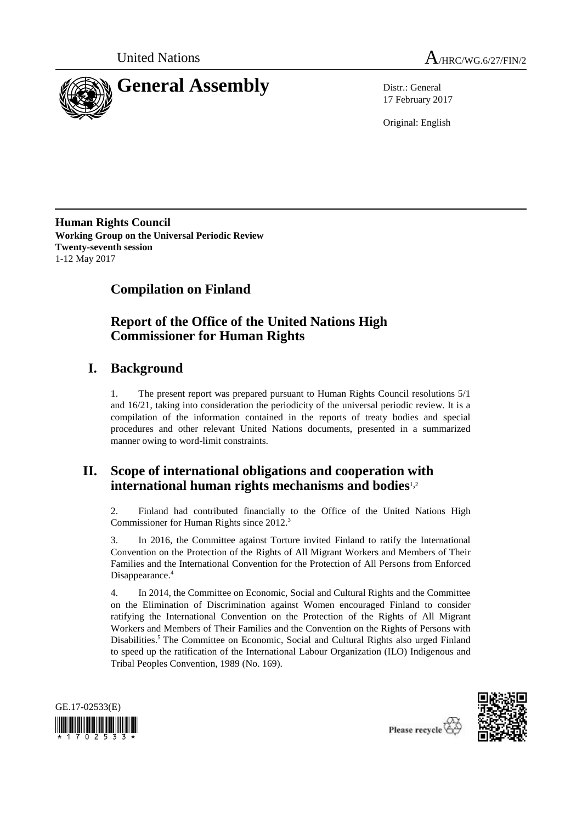



17 February 2017

Original: English

**Human Rights Council Working Group on the Universal Periodic Review Twenty-seventh session** 1-12 May 2017

# **Compilation on Finland**

# **Report of the Office of the United Nations High Commissioner for Human Rights**

## **I. Background**

1. The present report was prepared pursuant to Human Rights Council resolutions 5/1 and 16/21, taking into consideration the periodicity of the universal periodic review. It is a compilation of the information contained in the reports of treaty bodies and special procedures and other relevant United Nations documents, presented in a summarized manner owing to word-limit constraints.

## **II. Scope of international obligations and cooperation with international human rights mechanisms and bodies**1,<sup>2</sup>

2. Finland had contributed financially to the Office of the United Nations High Commissioner for Human Rights since 2012.<sup>3</sup>

3. In 2016, the Committee against Torture invited Finland to ratify the International Convention on the Protection of the Rights of All Migrant Workers and Members of Their Families and the International Convention for the Protection of All Persons from Enforced Disappearance.<sup>4</sup>

4. In 2014, the Committee on Economic, Social and Cultural Rights and the Committee on the Elimination of Discrimination against Women encouraged Finland to consider ratifying the International Convention on the Protection of the Rights of All Migrant Workers and Members of Their Families and the Convention on the Rights of Persons with Disabilities.<sup>5</sup> The Committee on Economic, Social and Cultural Rights also urged Finland to speed up the ratification of the International Labour Organization (ILO) Indigenous and Tribal Peoples Convention, 1989 (No. 169).





Please recycle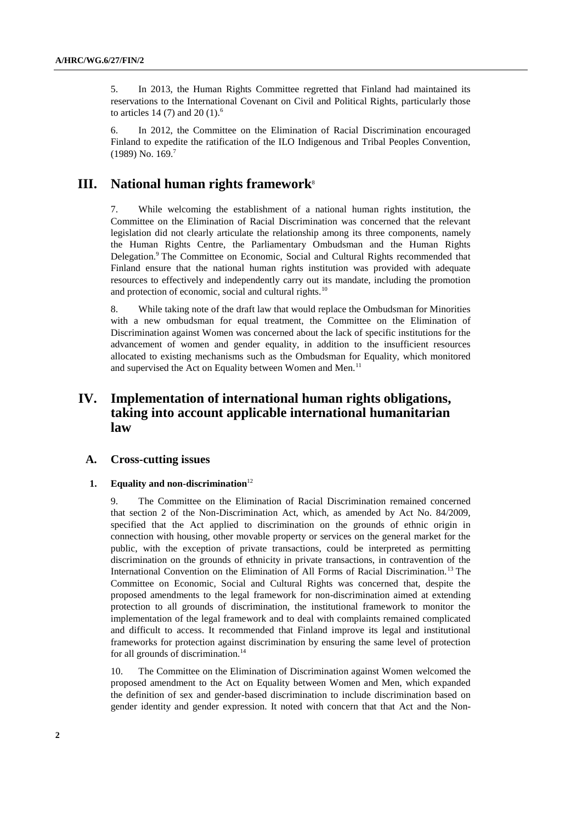5. In 2013, the Human Rights Committee regretted that Finland had maintained its reservations to the International Covenant on Civil and Political Rights, particularly those to articles 14 (7) and 20 (1).<sup>6</sup>

6. In 2012, the Committee on the Elimination of Racial Discrimination encouraged Finland to expedite the ratification of the ILO Indigenous and Tribal Peoples Convention,  $(1989)$  No.  $169<sup>7</sup>$ 

## **III.** National human rights framework<sup>8</sup>

7. While welcoming the establishment of a national human rights institution, the Committee on the Elimination of Racial Discrimination was concerned that the relevant legislation did not clearly articulate the relationship among its three components, namely the Human Rights Centre, the Parliamentary Ombudsman and the Human Rights Delegation.<sup>9</sup> The Committee on Economic, Social and Cultural Rights recommended that Finland ensure that the national human rights institution was provided with adequate resources to effectively and independently carry out its mandate, including the promotion and protection of economic, social and cultural rights.<sup>10</sup>

8. While taking note of the draft law that would replace the Ombudsman for Minorities with a new ombudsman for equal treatment, the Committee on the Elimination of Discrimination against Women was concerned about the lack of specific institutions for the advancement of women and gender equality, in addition to the insufficient resources allocated to existing mechanisms such as the Ombudsman for Equality, which monitored and supervised the Act on Equality between Women and Men.<sup>11</sup>

## **IV. Implementation of international human rights obligations, taking into account applicable international humanitarian law**

## **A. Cross-cutting issues**

## **1. Equality and non-discrimination**<sup>12</sup>

9. The Committee on the Elimination of Racial Discrimination remained concerned that section 2 of the Non-Discrimination Act, which, as amended by Act No. 84/2009, specified that the Act applied to discrimination on the grounds of ethnic origin in connection with housing, other movable property or services on the general market for the public, with the exception of private transactions, could be interpreted as permitting discrimination on the grounds of ethnicity in private transactions, in contravention of the International Convention on the Elimination of All Forms of Racial Discrimination.<sup>13</sup> The Committee on Economic, Social and Cultural Rights was concerned that, despite the proposed amendments to the legal framework for non-discrimination aimed at extending protection to all grounds of discrimination, the institutional framework to monitor the implementation of the legal framework and to deal with complaints remained complicated and difficult to access. It recommended that Finland improve its legal and institutional frameworks for protection against discrimination by ensuring the same level of protection for all grounds of discrimination.<sup>14</sup>

10. The Committee on the Elimination of Discrimination against Women welcomed the proposed amendment to the Act on Equality between Women and Men, which expanded the definition of sex and gender-based discrimination to include discrimination based on gender identity and gender expression. It noted with concern that that Act and the Non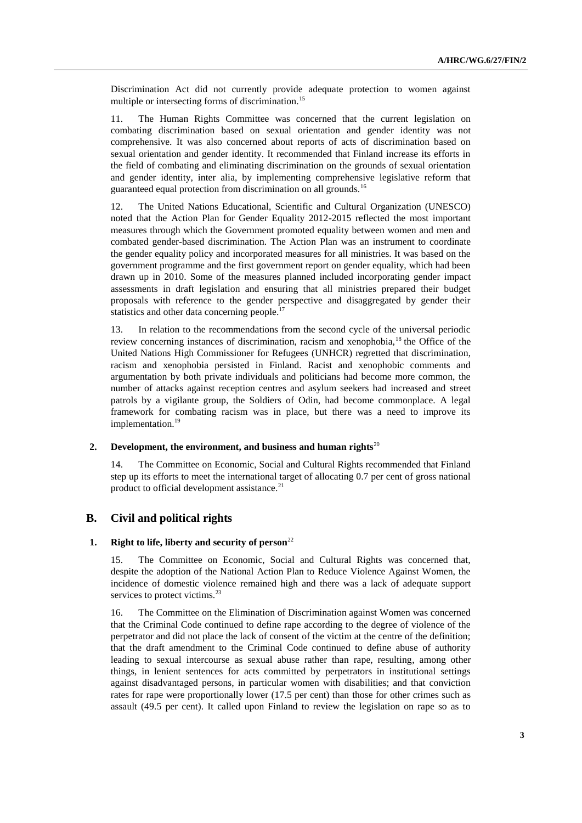Discrimination Act did not currently provide adequate protection to women against multiple or intersecting forms of discrimination.<sup>15</sup>

11. The Human Rights Committee was concerned that the current legislation on combating discrimination based on sexual orientation and gender identity was not comprehensive. It was also concerned about reports of acts of discrimination based on sexual orientation and gender identity. It recommended that Finland increase its efforts in the field of combating and eliminating discrimination on the grounds of sexual orientation and gender identity, inter alia, by implementing comprehensive legislative reform that guaranteed equal protection from discrimination on all grounds.<sup>16</sup>

12. The United Nations Educational, Scientific and Cultural Organization (UNESCO) noted that the Action Plan for Gender Equality 2012-2015 reflected the most important measures through which the Government promoted equality between women and men and combated gender-based discrimination. The Action Plan was an instrument to coordinate the gender equality policy and incorporated measures for all ministries. It was based on the government programme and the first government report on gender equality, which had been drawn up in 2010. Some of the measures planned included incorporating gender impact assessments in draft legislation and ensuring that all ministries prepared their budget proposals with reference to the gender perspective and disaggregated by gender their statistics and other data concerning people.<sup>17</sup>

13. In relation to the recommendations from the second cycle of the universal periodic review concerning instances of discrimination, racism and xenophobia,<sup>18</sup> the Office of the United Nations High Commissioner for Refugees (UNHCR) regretted that discrimination, racism and xenophobia persisted in Finland. Racist and xenophobic comments and argumentation by both private individuals and politicians had become more common, the number of attacks against reception centres and asylum seekers had increased and street patrols by a vigilante group, the Soldiers of Odin, had become commonplace. A legal framework for combating racism was in place, but there was a need to improve its implementation.<sup>19</sup>

#### **2. Development, the environment, and business and human rights**<sup>20</sup>

14. The Committee on Economic, Social and Cultural Rights recommended that Finland step up its efforts to meet the international target of allocating 0.7 per cent of gross national product to official development assistance.<sup>21</sup>

## **B. Civil and political rights**

## **1. Right to life, liberty and security of person**<sup>22</sup>

15. The Committee on Economic, Social and Cultural Rights was concerned that, despite the adoption of the National Action Plan to Reduce Violence Against Women, the incidence of domestic violence remained high and there was a lack of adequate support services to protect victims.<sup>23</sup>

16. The Committee on the Elimination of Discrimination against Women was concerned that the Criminal Code continued to define rape according to the degree of violence of the perpetrator and did not place the lack of consent of the victim at the centre of the definition; that the draft amendment to the Criminal Code continued to define abuse of authority leading to sexual intercourse as sexual abuse rather than rape, resulting, among other things, in lenient sentences for acts committed by perpetrators in institutional settings against disadvantaged persons, in particular women with disabilities; and that conviction rates for rape were proportionally lower (17.5 per cent) than those for other crimes such as assault (49.5 per cent). It called upon Finland to review the legislation on rape so as to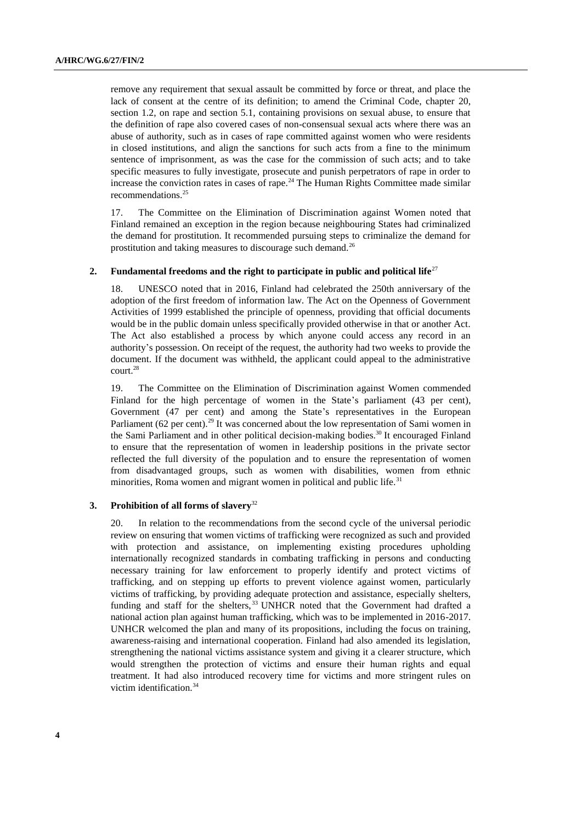remove any requirement that sexual assault be committed by force or threat, and place the lack of consent at the centre of its definition; to amend the Criminal Code, chapter 20, section 1.2, on rape and section 5.1, containing provisions on sexual abuse, to ensure that the definition of rape also covered cases of non-consensual sexual acts where there was an abuse of authority, such as in cases of rape committed against women who were residents in closed institutions, and align the sanctions for such acts from a fine to the minimum sentence of imprisonment, as was the case for the commission of such acts; and to take specific measures to fully investigate, prosecute and punish perpetrators of rape in order to increase the conviction rates in cases of rape.<sup>24</sup> The Human Rights Committee made similar recommendations.<sup>25</sup>

17. The Committee on the Elimination of Discrimination against Women noted that Finland remained an exception in the region because neighbouring States had criminalized the demand for prostitution. It recommended pursuing steps to criminalize the demand for prostitution and taking measures to discourage such demand.<sup>26</sup>

#### **2.** Fundamental freedoms and the right to participate in public and political life<sup>27</sup>

18. UNESCO noted that in 2016, Finland had celebrated the 250th anniversary of the adoption of the first freedom of information law. The Act on the Openness of Government Activities of 1999 established the principle of openness, providing that official documents would be in the public domain unless specifically provided otherwise in that or another Act. The Act also established a process by which anyone could access any record in an authority's possession. On receipt of the request, the authority had two weeks to provide the document. If the document was withheld, the applicant could appeal to the administrative court.<sup>28</sup>

19. The Committee on the Elimination of Discrimination against Women commended Finland for the high percentage of women in the State's parliament (43 per cent), Government (47 per cent) and among the State's representatives in the European Parliament (62 per cent).<sup>29</sup> It was concerned about the low representation of Sami women in the Sami Parliament and in other political decision-making bodies.<sup>30</sup> It encouraged Finland to ensure that the representation of women in leadership positions in the private sector reflected the full diversity of the population and to ensure the representation of women from disadvantaged groups, such as women with disabilities, women from ethnic minorities, Roma women and migrant women in political and public life.<sup>31</sup>

## **3. Prohibition of all forms of slavery**<sup>32</sup>

20. In relation to the recommendations from the second cycle of the universal periodic review on ensuring that women victims of trafficking were recognized as such and provided with protection and assistance, on implementing existing procedures upholding internationally recognized standards in combating trafficking in persons and conducting necessary training for law enforcement to properly identify and protect victims of trafficking, and on stepping up efforts to prevent violence against women, particularly victims of trafficking, by providing adequate protection and assistance, especially shelters, funding and staff for the shelters,<sup>33</sup> UNHCR noted that the Government had drafted a national action plan against human trafficking, which was to be implemented in 2016-2017. UNHCR welcomed the plan and many of its propositions, including the focus on training, awareness-raising and international cooperation. Finland had also amended its legislation, strengthening the national victims assistance system and giving it a clearer structure, which would strengthen the protection of victims and ensure their human rights and equal treatment. It had also introduced recovery time for victims and more stringent rules on victim identification.<sup>34</sup>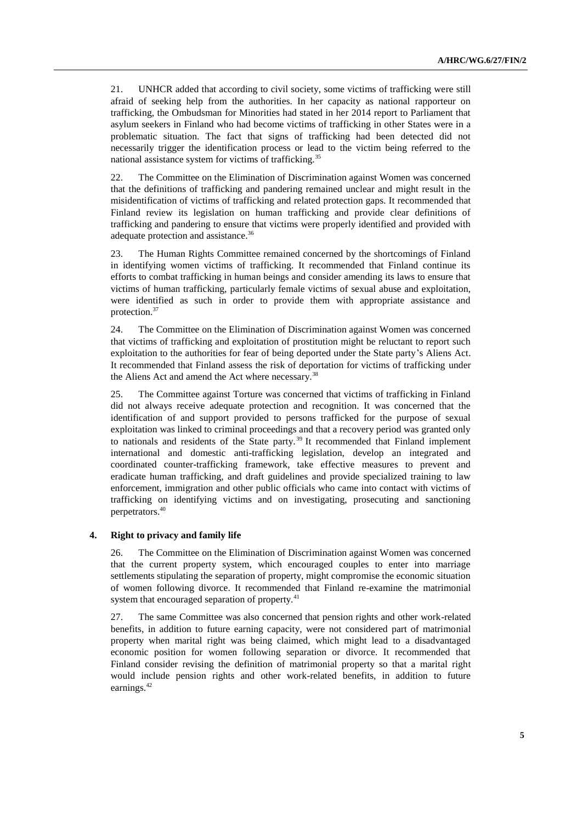21. UNHCR added that according to civil society, some victims of trafficking were still afraid of seeking help from the authorities. In her capacity as national rapporteur on trafficking, the Ombudsman for Minorities had stated in her 2014 report to Parliament that asylum seekers in Finland who had become victims of trafficking in other States were in a problematic situation. The fact that signs of trafficking had been detected did not necessarily trigger the identification process or lead to the victim being referred to the national assistance system for victims of trafficking.<sup>35</sup>

22. The Committee on the Elimination of Discrimination against Women was concerned that the definitions of trafficking and pandering remained unclear and might result in the misidentification of victims of trafficking and related protection gaps. It recommended that Finland review its legislation on human trafficking and provide clear definitions of trafficking and pandering to ensure that victims were properly identified and provided with adequate protection and assistance.<sup>36</sup>

23. The Human Rights Committee remained concerned by the shortcomings of Finland in identifying women victims of trafficking. It recommended that Finland continue its efforts to combat trafficking in human beings and consider amending its laws to ensure that victims of human trafficking, particularly female victims of sexual abuse and exploitation, were identified as such in order to provide them with appropriate assistance and protection.<sup>37</sup>

24. The Committee on the Elimination of Discrimination against Women was concerned that victims of trafficking and exploitation of prostitution might be reluctant to report such exploitation to the authorities for fear of being deported under the State party's Aliens Act. It recommended that Finland assess the risk of deportation for victims of trafficking under the Aliens Act and amend the Act where necessary.<sup>38</sup>

25. The Committee against Torture was concerned that victims of trafficking in Finland did not always receive adequate protection and recognition. It was concerned that the identification of and support provided to persons trafficked for the purpose of sexual exploitation was linked to criminal proceedings and that a recovery period was granted only to nationals and residents of the State party.<sup>39</sup> It recommended that Finland implement international and domestic anti-trafficking legislation, develop an integrated and coordinated counter-trafficking framework, take effective measures to prevent and eradicate human trafficking, and draft guidelines and provide specialized training to law enforcement, immigration and other public officials who came into contact with victims of trafficking on identifying victims and on investigating, prosecuting and sanctioning perpetrators.<sup>40</sup>

### **4. Right to privacy and family life**

26. The Committee on the Elimination of Discrimination against Women was concerned that the current property system, which encouraged couples to enter into marriage settlements stipulating the separation of property, might compromise the economic situation of women following divorce. It recommended that Finland re-examine the matrimonial system that encouraged separation of property.<sup>41</sup>

27. The same Committee was also concerned that pension rights and other work-related benefits, in addition to future earning capacity, were not considered part of matrimonial property when marital right was being claimed, which might lead to a disadvantaged economic position for women following separation or divorce. It recommended that Finland consider revising the definition of matrimonial property so that a marital right would include pension rights and other work-related benefits, in addition to future earnings.<sup>42</sup>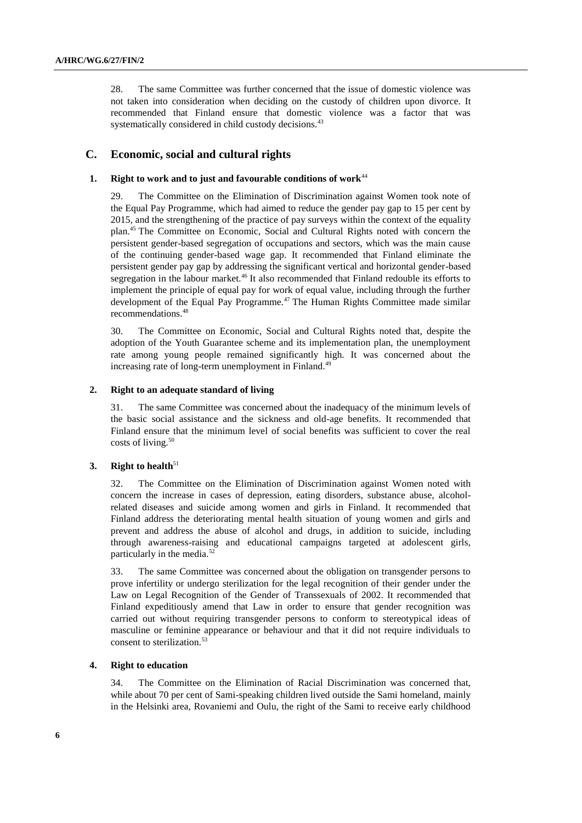28. The same Committee was further concerned that the issue of domestic violence was not taken into consideration when deciding on the custody of children upon divorce. It recommended that Finland ensure that domestic violence was a factor that was systematically considered in child custody decisions.<sup>43</sup>

## **C. Economic, social and cultural rights**

## **1. Right to work and to just and favourable conditions of work**<sup>44</sup>

29. The Committee on the Elimination of Discrimination against Women took note of the Equal Pay Programme, which had aimed to reduce the gender pay gap to 15 per cent by 2015, and the strengthening of the practice of pay surveys within the context of the equality plan.<sup>45</sup> The Committee on Economic, Social and Cultural Rights noted with concern the persistent gender-based segregation of occupations and sectors, which was the main cause of the continuing gender-based wage gap. It recommended that Finland eliminate the persistent gender pay gap by addressing the significant vertical and horizontal gender-based segregation in the labour market.<sup>46</sup> It also recommended that Finland redouble its efforts to implement the principle of equal pay for work of equal value, including through the further development of the Equal Pay Programme.<sup>47</sup> The Human Rights Committee made similar recommendations.<sup>48</sup>

30. The Committee on Economic, Social and Cultural Rights noted that, despite the adoption of the Youth Guarantee scheme and its implementation plan, the unemployment rate among young people remained significantly high. It was concerned about the increasing rate of long-term unemployment in Finland.<sup>49</sup>

## **2. Right to an adequate standard of living**

31. The same Committee was concerned about the inadequacy of the minimum levels of the basic social assistance and the sickness and old-age benefits. It recommended that Finland ensure that the minimum level of social benefits was sufficient to cover the real costs of living.<sup>50</sup>

### **3. Right to health**<sup>51</sup>

32. The Committee on the Elimination of Discrimination against Women noted with concern the increase in cases of depression, eating disorders, substance abuse, alcoholrelated diseases and suicide among women and girls in Finland. It recommended that Finland address the deteriorating mental health situation of young women and girls and prevent and address the abuse of alcohol and drugs, in addition to suicide, including through awareness-raising and educational campaigns targeted at adolescent girls, particularly in the media.<sup>52</sup>

33. The same Committee was concerned about the obligation on transgender persons to prove infertility or undergo sterilization for the legal recognition of their gender under the Law on Legal Recognition of the Gender of Transsexuals of 2002. It recommended that Finland expeditiously amend that Law in order to ensure that gender recognition was carried out without requiring transgender persons to conform to stereotypical ideas of masculine or feminine appearance or behaviour and that it did not require individuals to consent to sterilization.<sup>5</sup>

#### **4. Right to education**

34. The Committee on the Elimination of Racial Discrimination was concerned that, while about 70 per cent of Sami-speaking children lived outside the Sami homeland, mainly in the Helsinki area, Rovaniemi and Oulu, the right of the Sami to receive early childhood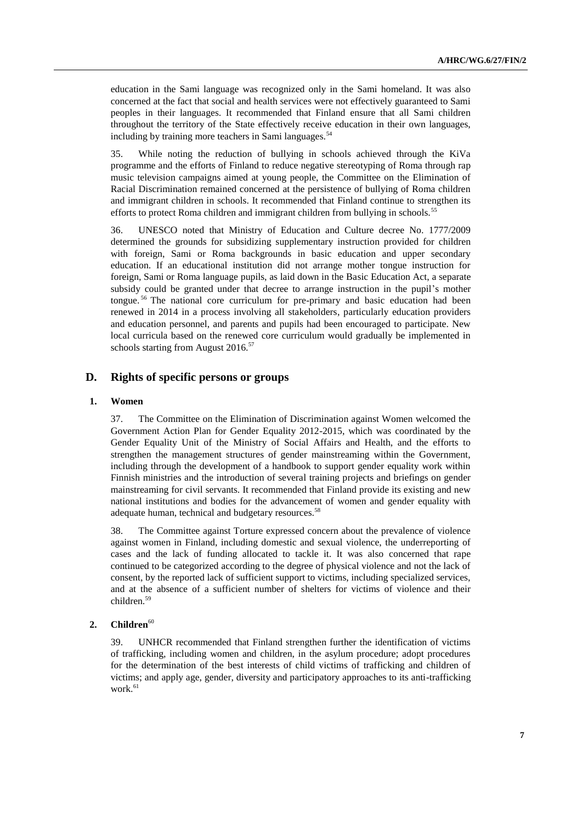education in the Sami language was recognized only in the Sami homeland. It was also concerned at the fact that social and health services were not effectively guaranteed to Sami peoples in their languages. It recommended that Finland ensure that all Sami children throughout the territory of the State effectively receive education in their own languages, including by training more teachers in Sami languages.<sup>54</sup>

35. While noting the reduction of bullying in schools achieved through the KiVa programme and the efforts of Finland to reduce negative stereotyping of Roma through rap music television campaigns aimed at young people, the Committee on the Elimination of Racial Discrimination remained concerned at the persistence of bullying of Roma children and immigrant children in schools. It recommended that Finland continue to strengthen its efforts to protect Roma children and immigrant children from bullying in schools.<sup>55</sup>

36. UNESCO noted that Ministry of Education and Culture decree No. 1777/2009 determined the grounds for subsidizing supplementary instruction provided for children with foreign, Sami or Roma backgrounds in basic education and upper secondary education. If an educational institution did not arrange mother tongue instruction for foreign, Sami or Roma language pupils, as laid down in the Basic Education Act, a separate subsidy could be granted under that decree to arrange instruction in the pupil's mother tongue. <sup>56</sup> The national core curriculum for pre-primary and basic education had been renewed in 2014 in a process involving all stakeholders, particularly education providers and education personnel, and parents and pupils had been encouraged to participate. New local curricula based on the renewed core curriculum would gradually be implemented in schools starting from August 2016.<sup>57</sup>

## **D. Rights of specific persons or groups**

## **1. Women**

37. The Committee on the Elimination of Discrimination against Women welcomed the Government Action Plan for Gender Equality 2012-2015, which was coordinated by the Gender Equality Unit of the Ministry of Social Affairs and Health, and the efforts to strengthen the management structures of gender mainstreaming within the Government, including through the development of a handbook to support gender equality work within Finnish ministries and the introduction of several training projects and briefings on gender mainstreaming for civil servants. It recommended that Finland provide its existing and new national institutions and bodies for the advancement of women and gender equality with adequate human, technical and budgetary resources.<sup>58</sup>

38. The Committee against Torture expressed concern about the prevalence of violence against women in Finland, including domestic and sexual violence, the underreporting of cases and the lack of funding allocated to tackle it. It was also concerned that rape continued to be categorized according to the degree of physical violence and not the lack of consent, by the reported lack of sufficient support to victims, including specialized services, and at the absence of a sufficient number of shelters for victims of violence and their children.<sup>59</sup>

## 2. **Children**<sup>60</sup>

39. UNHCR recommended that Finland strengthen further the identification of victims of trafficking, including women and children, in the asylum procedure; adopt procedures for the determination of the best interests of child victims of trafficking and children of victims; and apply age, gender, diversity and participatory approaches to its anti-trafficking work.<sup>61</sup>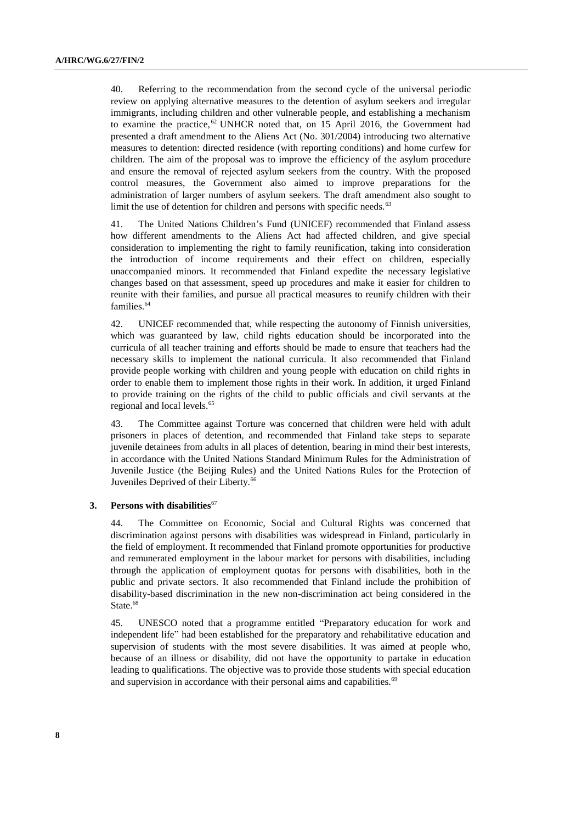40. Referring to the recommendation from the second cycle of the universal periodic review on applying alternative measures to the detention of asylum seekers and irregular immigrants, including children and other vulnerable people, and establishing a mechanism to examine the practice,  $62$  UNHCR noted that, on 15 April 2016, the Government had presented a draft amendment to the Aliens Act (No. 301/2004) introducing two alternative measures to detention: directed residence (with reporting conditions) and home curfew for children. The aim of the proposal was to improve the efficiency of the asylum procedure and ensure the removal of rejected asylum seekers from the country. With the proposed control measures, the Government also aimed to improve preparations for the administration of larger numbers of asylum seekers. The draft amendment also sought to limit the use of detention for children and persons with specific needs.<sup>63</sup>

41. The United Nations Children's Fund (UNICEF) recommended that Finland assess how different amendments to the Aliens Act had affected children, and give special consideration to implementing the right to family reunification, taking into consideration the introduction of income requirements and their effect on children, especially unaccompanied minors. It recommended that Finland expedite the necessary legislative changes based on that assessment, speed up procedures and make it easier for children to reunite with their families, and pursue all practical measures to reunify children with their families.<sup>64</sup>

42. UNICEF recommended that, while respecting the autonomy of Finnish universities, which was guaranteed by law, child rights education should be incorporated into the curricula of all teacher training and efforts should be made to ensure that teachers had the necessary skills to implement the national curricula. It also recommended that Finland provide people working with children and young people with education on child rights in order to enable them to implement those rights in their work. In addition, it urged Finland to provide training on the rights of the child to public officials and civil servants at the regional and local levels.<sup>65</sup>

43. The Committee against Torture was concerned that children were held with adult prisoners in places of detention, and recommended that Finland take steps to separate juvenile detainees from adults in all places of detention, bearing in mind their best interests, in accordance with the United Nations Standard Minimum Rules for the Administration of Juvenile Justice (the Beijing Rules) and the United Nations Rules for the Protection of Juveniles Deprived of their Liberty.<sup>66</sup>

#### **3.** Persons with disabilities<sup>67</sup>

44. The Committee on Economic, Social and Cultural Rights was concerned that discrimination against persons with disabilities was widespread in Finland, particularly in the field of employment. It recommended that Finland promote opportunities for productive and remunerated employment in the labour market for persons with disabilities, including through the application of employment quotas for persons with disabilities, both in the public and private sectors. It also recommended that Finland include the prohibition of disability-based discrimination in the new non-discrimination act being considered in the State.<sup>68</sup>

45. UNESCO noted that a programme entitled "Preparatory education for work and independent life" had been established for the preparatory and rehabilitative education and supervision of students with the most severe disabilities. It was aimed at people who, because of an illness or disability, did not have the opportunity to partake in education leading to qualifications. The objective was to provide those students with special education and supervision in accordance with their personal aims and capabilities.<sup>69</sup>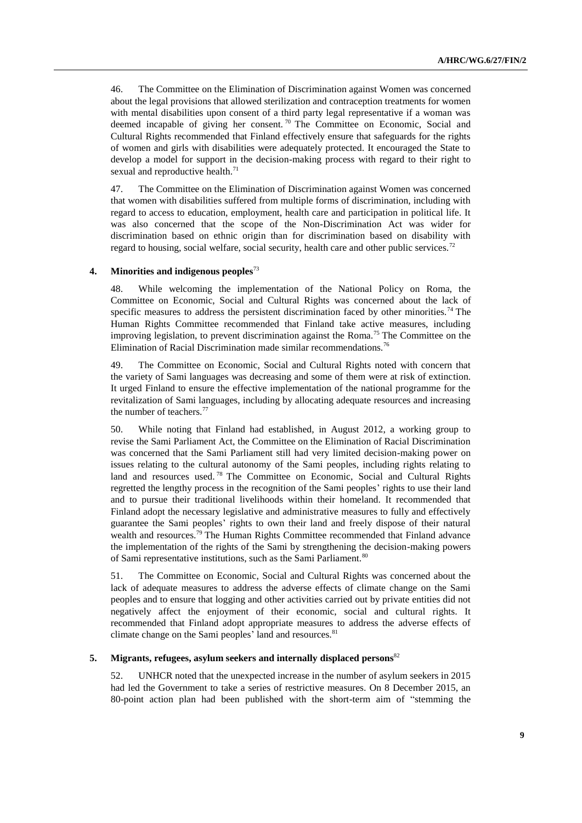46. The Committee on the Elimination of Discrimination against Women was concerned about the legal provisions that allowed sterilization and contraception treatments for women with mental disabilities upon consent of a third party legal representative if a woman was deemed incapable of giving her consent.<sup>70</sup> The Committee on Economic, Social and Cultural Rights recommended that Finland effectively ensure that safeguards for the rights of women and girls with disabilities were adequately protected. It encouraged the State to develop a model for support in the decision-making process with regard to their right to sexual and reproductive health.<sup>71</sup>

47. The Committee on the Elimination of Discrimination against Women was concerned that women with disabilities suffered from multiple forms of discrimination, including with regard to access to education, employment, health care and participation in political life. It was also concerned that the scope of the Non-Discrimination Act was wider for discrimination based on ethnic origin than for discrimination based on disability with regard to housing, social welfare, social security, health care and other public services.<sup>72</sup>

#### **4. Minorities and indigenous peoples**<sup>73</sup>

48. While welcoming the implementation of the National Policy on Roma, the Committee on Economic, Social and Cultural Rights was concerned about the lack of specific measures to address the persistent discrimination faced by other minorities.<sup>74</sup> The Human Rights Committee recommended that Finland take active measures, including improving legislation, to prevent discrimination against the Roma.<sup>75</sup> The Committee on the Elimination of Racial Discrimination made similar recommendations.<sup>76</sup>

49. The Committee on Economic, Social and Cultural Rights noted with concern that the variety of Sami languages was decreasing and some of them were at risk of extinction. It urged Finland to ensure the effective implementation of the national programme for the revitalization of Sami languages, including by allocating adequate resources and increasing the number of teachers.<sup>77</sup>

50. While noting that Finland had established, in August 2012, a working group to revise the Sami Parliament Act, the Committee on the Elimination of Racial Discrimination was concerned that the Sami Parliament still had very limited decision-making power on issues relating to the cultural autonomy of the Sami peoples, including rights relating to land and resources used.<sup>78</sup> The Committee on Economic, Social and Cultural Rights regretted the lengthy process in the recognition of the Sami peoples' rights to use their land and to pursue their traditional livelihoods within their homeland. It recommended that Finland adopt the necessary legislative and administrative measures to fully and effectively guarantee the Sami peoples' rights to own their land and freely dispose of their natural wealth and resources.<sup>79</sup> The Human Rights Committee recommended that Finland advance the implementation of the rights of the Sami by strengthening the decision-making powers of Sami representative institutions, such as the Sami Parliament.<sup>80</sup>

51. The Committee on Economic, Social and Cultural Rights was concerned about the lack of adequate measures to address the adverse effects of climate change on the Sami peoples and to ensure that logging and other activities carried out by private entities did not negatively affect the enjoyment of their economic, social and cultural rights. It recommended that Finland adopt appropriate measures to address the adverse effects of climate change on the Sami peoples' land and resources.<sup>81</sup>

## **5. Migrants, refugees, asylum seekers and internally displaced persons**<sup>82</sup>

52. UNHCR noted that the unexpected increase in the number of asylum seekers in 2015 had led the Government to take a series of restrictive measures. On 8 December 2015, an 80-point action plan had been published with the short-term aim of "stemming the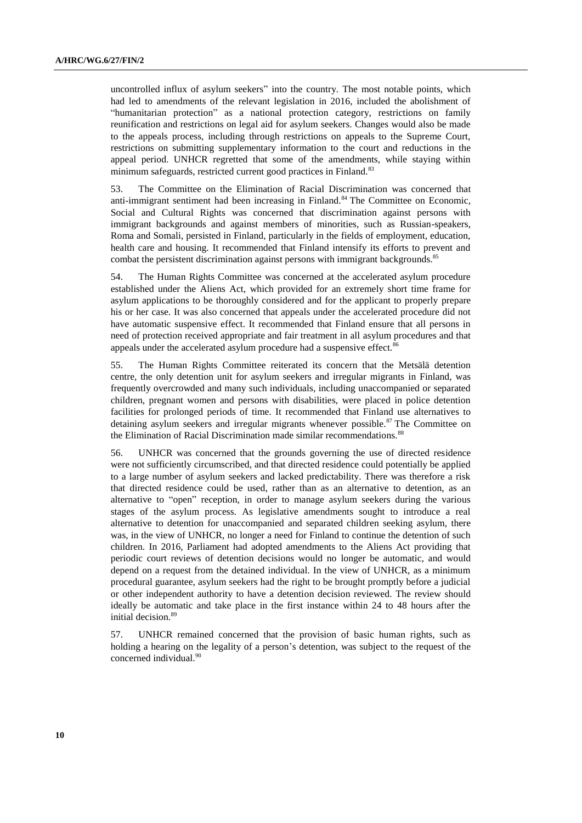uncontrolled influx of asylum seekers" into the country. The most notable points, which had led to amendments of the relevant legislation in 2016, included the abolishment of "humanitarian protection" as a national protection category, restrictions on family reunification and restrictions on legal aid for asylum seekers. Changes would also be made to the appeals process, including through restrictions on appeals to the Supreme Court, restrictions on submitting supplementary information to the court and reductions in the appeal period. UNHCR regretted that some of the amendments, while staying within minimum safeguards, restricted current good practices in Finland.<sup>83</sup>

53. The Committee on the Elimination of Racial Discrimination was concerned that anti-immigrant sentiment had been increasing in Finland.<sup>84</sup> The Committee on Economic, Social and Cultural Rights was concerned that discrimination against persons with immigrant backgrounds and against members of minorities, such as Russian-speakers, Roma and Somali, persisted in Finland, particularly in the fields of employment, education, health care and housing. It recommended that Finland intensify its efforts to prevent and combat the persistent discrimination against persons with immigrant backgrounds.<sup>85</sup>

54. The Human Rights Committee was concerned at the accelerated asylum procedure established under the Aliens Act, which provided for an extremely short time frame for asylum applications to be thoroughly considered and for the applicant to properly prepare his or her case. It was also concerned that appeals under the accelerated procedure did not have automatic suspensive effect. It recommended that Finland ensure that all persons in need of protection received appropriate and fair treatment in all asylum procedures and that appeals under the accelerated asylum procedure had a suspensive effect.<sup>86</sup>

55. The Human Rights Committee reiterated its concern that the Metsälä detention centre, the only detention unit for asylum seekers and irregular migrants in Finland, was frequently overcrowded and many such individuals, including unaccompanied or separated children, pregnant women and persons with disabilities, were placed in police detention facilities for prolonged periods of time. It recommended that Finland use alternatives to detaining asylum seekers and irregular migrants whenever possible.<sup>87</sup> The Committee on the Elimination of Racial Discrimination made similar recommendations.<sup>88</sup>

56. UNHCR was concerned that the grounds governing the use of directed residence were not sufficiently circumscribed, and that directed residence could potentially be applied to a large number of asylum seekers and lacked predictability. There was therefore a risk that directed residence could be used, rather than as an alternative to detention, as an alternative to "open" reception, in order to manage asylum seekers during the various stages of the asylum process. As legislative amendments sought to introduce a real alternative to detention for unaccompanied and separated children seeking asylum, there was, in the view of UNHCR, no longer a need for Finland to continue the detention of such children. In 2016, Parliament had adopted amendments to the Aliens Act providing that periodic court reviews of detention decisions would no longer be automatic, and would depend on a request from the detained individual. In the view of UNHCR, as a minimum procedural guarantee, asylum seekers had the right to be brought promptly before a judicial or other independent authority to have a detention decision reviewed. The review should ideally be automatic and take place in the first instance within 24 to 48 hours after the initial decision.<sup>89</sup>

57. UNHCR remained concerned that the provision of basic human rights, such as holding a hearing on the legality of a person's detention, was subject to the request of the concerned individual.<sup>90</sup>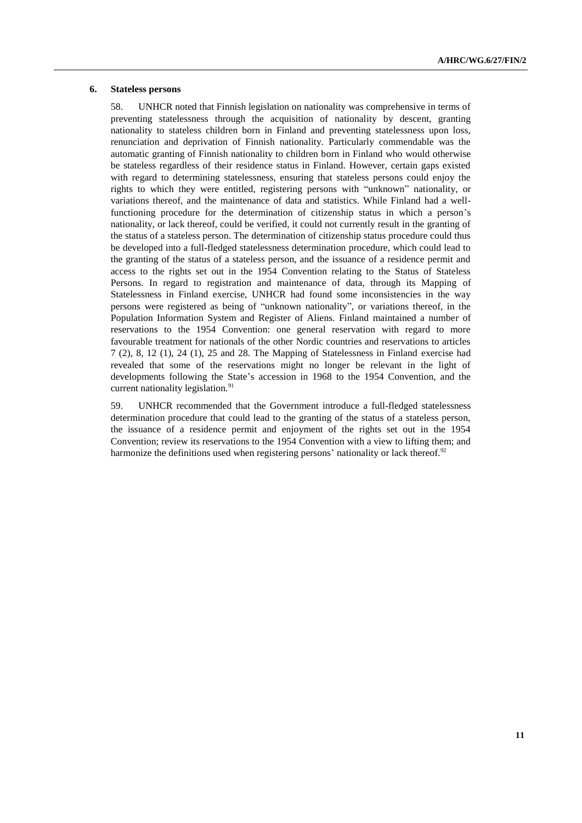### **6. Stateless persons**

58. UNHCR noted that Finnish legislation on nationality was comprehensive in terms of preventing statelessness through the acquisition of nationality by descent, granting nationality to stateless children born in Finland and preventing statelessness upon loss, renunciation and deprivation of Finnish nationality. Particularly commendable was the automatic granting of Finnish nationality to children born in Finland who would otherwise be stateless regardless of their residence status in Finland. However, certain gaps existed with regard to determining statelessness, ensuring that stateless persons could enjoy the rights to which they were entitled, registering persons with "unknown" nationality, or variations thereof, and the maintenance of data and statistics. While Finland had a wellfunctioning procedure for the determination of citizenship status in which a person's nationality, or lack thereof, could be verified, it could not currently result in the granting of the status of a stateless person. The determination of citizenship status procedure could thus be developed into a full-fledged statelessness determination procedure, which could lead to the granting of the status of a stateless person, and the issuance of a residence permit and access to the rights set out in the 1954 Convention relating to the Status of Stateless Persons. In regard to registration and maintenance of data, through its Mapping of Statelessness in Finland exercise, UNHCR had found some inconsistencies in the way persons were registered as being of "unknown nationality", or variations thereof, in the Population Information System and Register of Aliens. Finland maintained a number of reservations to the 1954 Convention: one general reservation with regard to more favourable treatment for nationals of the other Nordic countries and reservations to articles 7 (2), 8, 12 (1), 24 (1), 25 and 28. The Mapping of Statelessness in Finland exercise had revealed that some of the reservations might no longer be relevant in the light of developments following the State's accession in 1968 to the 1954 Convention, and the current nationality legislation.<sup>91</sup>

59. UNHCR recommended that the Government introduce a full-fledged statelessness determination procedure that could lead to the granting of the status of a stateless person, the issuance of a residence permit and enjoyment of the rights set out in the 1954 Convention; review its reservations to the 1954 Convention with a view to lifting them; and harmonize the definitions used when registering persons' nationality or lack thereof.<sup>92</sup>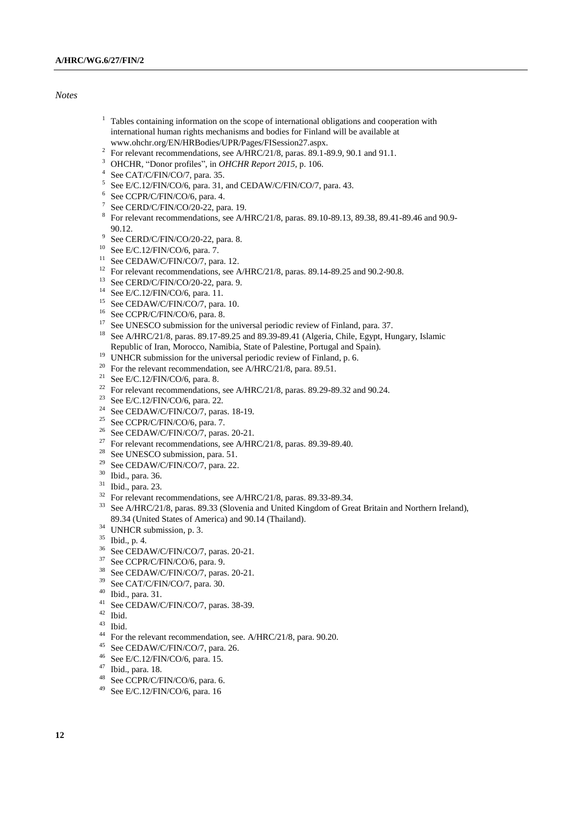#### *Notes*

- $1$  Tables containing information on the scope of international obligations and cooperation with international human rights mechanisms and bodies for Finland will be available at www.ohchr.org/EN/HRBodies/UPR/Pages/FISession27.aspx.
- <sup>2</sup> For relevant recommendations, see A/HRC/21/8, paras. 89.1-89.9, 90.1 and 91.1.
- <sup>3</sup> OHCHR, "Donor profiles", in *OHCHR Report 2015*, p. 106.
- 4 See CAT/C/FIN/CO/7, para. 35.
- $5$  See E/C.12/FIN/CO/6, para. 31, and CEDAW/C/FIN/CO/7, para. 43.
- 6 See CCPR/C/FIN/CO/6, para. 4.
- $7$  See CERD/C/FIN/CO/20-22, para. 19.
- <sup>8</sup> For relevant recommendations, see A/HRC/21/8, paras. 89.10-89.13, 89.38, 89.41-89.46 and 90.9-90.12.
- <sup>9</sup> See CERD/C/FIN/CO/20-22, para. 8.
- <sup>10</sup> See E/C.12/FIN/CO/6, para. 7.
- <sup>11</sup> See CEDAW/C/FIN/CO/7, para. 12.
- <sup>12</sup> For relevant recommendations, see A/HRC/21/8, paras. 89.14-89.25 and 90.2-90.8.
- <sup>13</sup> See CERD/C/FIN/CO/20-22, para. 9.
- <sup>14</sup> See E/C.12/FIN/CO/6, para. 11.
- <sup>15</sup> See CEDAW/C/FIN/CO/7, para. 10.
- <sup>16</sup> See CCPR/C/FIN/CO/6, para. 8.
- <sup>17</sup> See UNESCO submission for the universal periodic review of Finland, para. 37.
- <sup>18</sup> See A/HRC/21/8, paras. 89.17-89.25 and 89.39-89.41 (Algeria, Chile, Egypt, Hungary, Islamic Republic of Iran, Morocco, Namibia, State of Palestine, Portugal and Spain).
- <sup>19</sup> UNHCR submission for the universal periodic review of Finland, p. 6.
- <sup>20</sup> For the relevant recommendation, see A/HRC/21/8, para. 89.51.
- <sup>21</sup> See E/C.12/FIN/CO/6, para. 8.
- <sup>22</sup> For relevant recommendations, see A/HRC/21/8, paras. 89.29-89.32 and 90.24.
- <sup>23</sup> See E/C.12/FIN/CO/6, para. 22.
- <sup>24</sup> See CEDAW/C/FIN/CO/7, paras. 18-19.
- <sup>25</sup> See CCPR/C/FIN/CO/6, para. 7.
- <sup>26</sup> See CEDAW/C/FIN/CO/7, paras. 20-21.
- <sup>27</sup> For relevant recommendations, see A/HRC/21/8, paras. 89.39-89.40.
- <sup>28</sup> See UNESCO submission, para. 51.
- $29$  See CEDAW/C/FIN/CO/7, para. 22.
- <sup>30</sup> Ibid., para. 36.
- <sup>31</sup> Ibid., para. 23.
- <sup>32</sup> For relevant recommendations, see A/HRC/21/8, paras. 89.33-89.34.
- <sup>33</sup> See A/HRC/21/8, paras. 89.33 (Slovenia and United Kingdom of Great Britain and Northern Ireland), 89.34 (United States of America) and 90.14 (Thailand).
- <sup>34</sup> UNHCR submission, p. 3.
- <sup>35</sup> Ibid., p. 4.
- <sup>36</sup> See CEDAW/C/FIN/CO/7, paras. 20-21.
- <sup>37</sup> See CCPR/C/FIN/CO/6, para. 9.<br><sup>38</sup> See CEDAW/C/FIN/CO/7, para.
- <sup>38</sup> See CEDAW/C/FIN/CO/7, paras. 20-21.<br><sup>39</sup> See CAT/C/FIN/CO/7, para. <sup>30</sup>
- See CAT/C/FIN/CO/7, para. 30.
- $^{40}$  Ibid., para. 31.
- See CEDAW/C/FIN/CO/7, paras. 38-39.
- $42$  Ibid.
- $\frac{43}{44}$  Ibid.
- <sup>44</sup> For the relevant recommendation, see. A/HRC/21/8, para. 90.20.<br><sup>45</sup> See CEDAW/C/ED/CO/7, para. 26
- See CEDAW/C/FIN/CO/7, para. 26.
- <sup>46</sup> See E/C.12/FIN/CO/6, para. 15.
- <sup>47</sup> Ibid., para. 18.
- <sup>48</sup> See CCPR/C/FIN/CO/6, para. 6.
- <sup>49</sup> See E/C.12/FIN/CO/6, para. 16